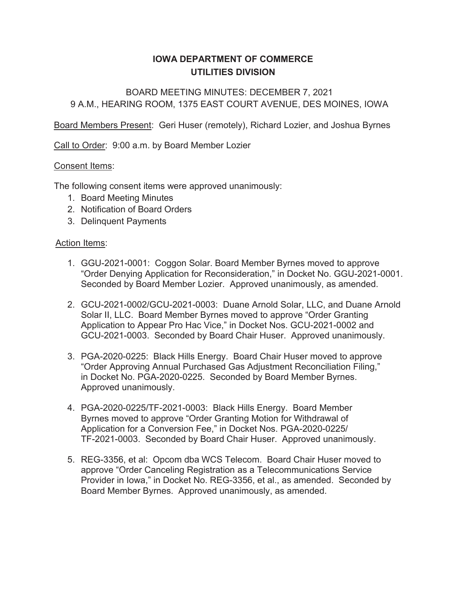# **IOWA DEPARTMENT OF COMMERCE UTILITIES DIVISION**

# BOARD MEETING MINUTES: DECEMBER 7, 2021 9 A.M., HEARING ROOM, 1375 EAST COURT AVENUE, DES MOINES, IOWA

Board Members Present: Geri Huser (remotely), Richard Lozier, and Joshua Byrnes

Call to Order: 9:00 a.m. by Board Member Lozier

#### Consent Items:

The following consent items were approved unanimously:

- 1. Board Meeting Minutes
- 2. Notification of Board Orders
- 3. Delinquent Payments

#### Action Items:

- GGU-2021-0001: Coggon Solar. Board Member Byrnes moved to approve "Order Denying Application for Reconsideration," in Docket No. GGU-2021-0001. Seconded by Board Member Lozier. Approved unanimously, as amended.
- GCU-2021-0002/GCU-2021-0003: Duane Arnold Solar, LLC, and Duane Arnold Solar II, LLC. Board Member Byrnes moved to approve "Order Granting Application to Appear Pro Hac Vice," in Docket Nos. GCU-2021-0002 and GCU-2021-0003. Seconded by Board Chair Huser. Approved unanimously.
- PGA-2020-0225: Black Hills Energy. Board Chair Huser moved to approve "Order Approving Annual Purchased Gas Adjustment Reconciliation Filing," in Docket No. PGA-2020-0225. Seconded by Board Member Byrnes. Approved unanimously.
- PGA-2020-0225/TF-2021-0003: Black Hills Energy. Board Member Byrnes moved to approve "Order Granting Motion for Withdrawal of Application for a Conversion Fee," in Docket Nos. PGA-2020-0225/ TF-2021-0003. Seconded by Board Chair Huser. Approved unanimously.
- REG-3356, et al: Opcom dba WCS Telecom. Board Chair Huser moved to approve "Order Canceling Registration as a Telecommunications Service Provider in Iowa," in Docket No. REG-3356, et al., as amended. Seconded by Board Member Byrnes. Approved unanimously, as amended.